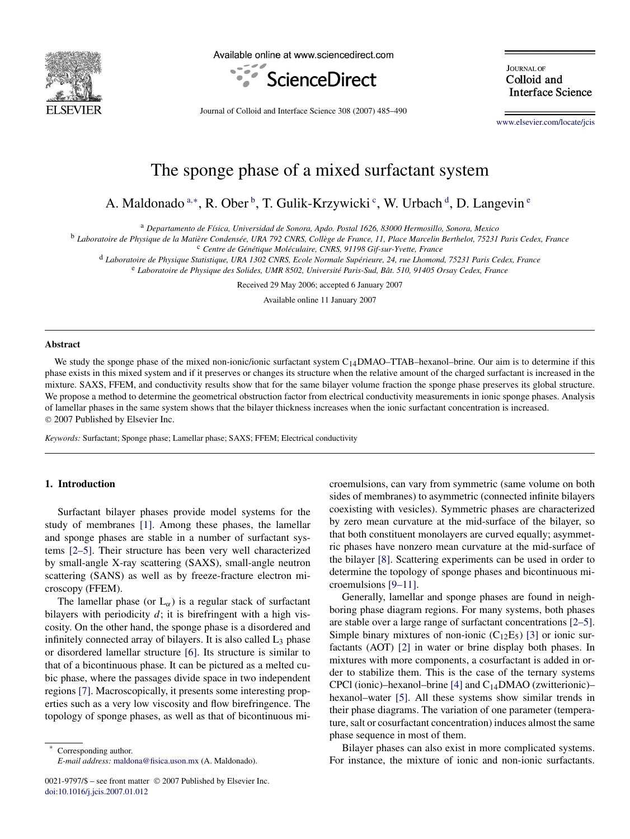

Available online at www.sciencedirect.com



**IOURNAL OF** Colloid and **Interface Science** 

Journal of Colloid and Interface Science 308 (2007) 485–490

[www.elsevier.com/locate/jcis](http://www.elsevier.com/locate/jcis)

# The sponge phase of a mixed surfactant system

A. Maldonado <sup>a,∗</sup>, R. Ober<sup>b</sup>, T. Gulik-Krzywicki<sup>c</sup>, W. Urbach<sup>d</sup>, D. Langevin<sup>e</sup>

<sup>a</sup> *Departamento de Física, Universidad de Sonora, Apdo. Postal 1626, 83000 Hermosillo, Sonora, Mexico*

<sup>b</sup> *Laboratoire de Physique de la Matière Condensée, URA 792 CNRS, Collège de France, 11, Place Marcelin Berthelot, 75231 Paris Cedex, France*

<sup>c</sup> *Centre de Génétique Moléculaire, CNRS, 91198 Gif-sur-Yvette, France*

<sup>d</sup> *Laboratoire de Physique Statistique, URA 1302 CNRS, Ecole Normale Supérieure, 24, rue Lhomond, 75231 Paris Cedex, France*

<sup>e</sup> *Laboratoire de Physique des Solides, UMR 8502, Université Paris-Sud, Bât. 510, 91405 Orsay Cedex, France*

Received 29 May 2006; accepted 6 January 2007

Available online 11 January 2007

### **Abstract**

We study the sponge phase of the mixed non-ionic/ionic surfactant system  $C_{14}$ DMAO–TTAB–hexanol–brine. Our aim is to determine if this phase exists in this mixed system and if it preserves or changes its structure when the relative amount of the charged surfactant is increased in the mixture. SAXS, FFEM, and conductivity results show that for the same bilayer volume fraction the sponge phase preserves its global structure. We propose a method to determine the geometrical obstruction factor from electrical conductivity measurements in ionic sponge phases. Analysis of lamellar phases in the same system shows that the bilayer thickness increases when the ionic surfactant concentration is increased. © 2007 Published by Elsevier Inc.

*Keywords:* Surfactant; Sponge phase; Lamellar phase; SAXS; FFEM; Electrical conductivity

## **1. Introduction**

Surfactant bilayer phases provide model systems for the study of membranes [\[1\].](#page-4-0) Among these phases, the lamellar and sponge phases are stable in a number of surfactant systems [\[2–5\].](#page-4-0) Their structure has been very well characterized by small-angle X-ray scattering (SAXS), small-angle neutron scattering (SANS) as well as by freeze-fracture electron microscopy (FFEM).

The lamellar phase (or  $L_{\alpha}$ ) is a regular stack of surfactant bilayers with periodicity *d*; it is birefringent with a high viscosity. On the other hand, the sponge phase is a disordered and infinitely connected array of bilayers. It is also called  $L_3$  phase or disordered lamellar structure [\[6\].](#page-4-0) Its structure is similar to that of a bicontinuous phase. It can be pictured as a melted cubic phase, where the passages divide space in two independent regions [\[7\].](#page-4-0) Macroscopically, it presents some interesting properties such as a very low viscosity and flow birefringence. The topology of sponge phases, as well as that of bicontinuous mi-

Corresponding author. *E-mail address:* [maldona@fisica.uson.mx](mailto:maldona@fisica.uson.mx) (A. Maldonado).

0021-9797/\$ – see front matter © 2007 Published by Elsevier Inc. [doi:10.1016/j.jcis.2007.01.012](http://dx.doi.org/10.1016/j.jcis.2007.01.012)

croemulsions, can vary from symmetric (same volume on both sides of membranes) to asymmetric (connected infinite bilayers coexisting with vesicles). Symmetric phases are characterized by zero mean curvature at the mid-surface of the bilayer, so that both constituent monolayers are curved equally; asymmetric phases have nonzero mean curvature at the mid-surface of the bilayer [\[8\].](#page-4-0) Scattering experiments can be used in order to determine the topology of sponge phases and bicontinuous microemulsions [\[9–11\].](#page-4-0)

Generally, lamellar and sponge phases are found in neighboring phase diagram regions. For many systems, both phases are stable over a large range of surfactant concentrations [\[2–5\].](#page-4-0) Simple binary mixtures of non-ionic  $(C_{12}E_5)$  [\[3\]](#page-4-0) or ionic surfactants (AOT) [\[2\]](#page-4-0) in water or brine display both phases. In mixtures with more components, a cosurfactant is added in order to stabilize them. This is the case of the ternary systems CPCl (ionic)–hexanol–brine [\[4\]](#page-4-0) and  $C_{14}$ DMAO (zwitterionic)– hexanol–water [\[5\].](#page-4-0) All these systems show similar trends in their phase diagrams. The variation of one parameter (temperature, salt or cosurfactant concentration) induces almost the same phase sequence in most of them.

Bilayer phases can also exist in more complicated systems. For instance, the mixture of ionic and non-ionic surfactants.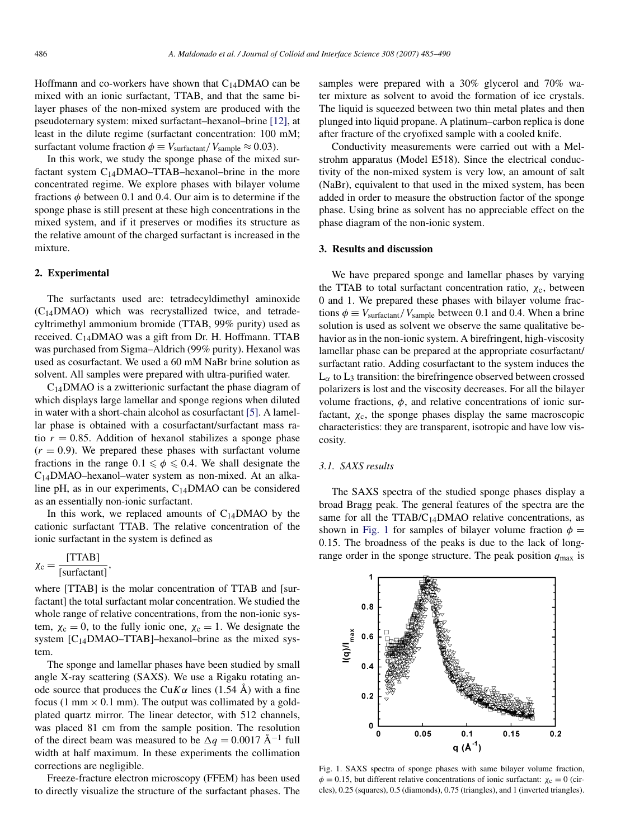<span id="page-1-0"></span>Hoffmann and co-workers have shown that  $C_{14}$ DMAO can be mixed with an ionic surfactant, TTAB, and that the same bilayer phases of the non-mixed system are produced with the pseudoternary system: mixed surfactant–hexanol–brine [\[12\],](#page-5-0) at least in the dilute regime (surfactant concentration: 100 mM; surfactant volume fraction  $\phi = V_{\text{surface}}/V_{\text{sample}} \approx 0.03$ ).

In this work, we study the sponge phase of the mixed surfactant system  $C_{14}$ DMAO–TTAB–hexanol–brine in the more concentrated regime. We explore phases with bilayer volume fractions *φ* between 0.1 and 0.4. Our aim is to determine if the sponge phase is still present at these high concentrations in the mixed system, and if it preserves or modifies its structure as the relative amount of the charged surfactant is increased in the mixture.

### **2. Experimental**

The surfactants used are: tetradecyldimethyl aminoxide (C14DMAO) which was recrystallized twice, and tetradecyltrimethyl ammonium bromide (TTAB, 99% purity) used as received.  $C_{14}$ DMAO was a gift from Dr. H. Hoffmann. TTAB was purchased from Sigma–Aldrich (99% purity). Hexanol was used as cosurfactant. We used a 60 mM NaBr brine solution as solvent. All samples were prepared with ultra-purified water.

 $C_{14}$ DMAO is a zwitterionic surfactant the phase diagram of which displays large lamellar and sponge regions when diluted in water with a short-chain alcohol as cosurfactant [\[5\].](#page-4-0) A lamellar phase is obtained with a cosurfactant/surfactant mass ratio  $r = 0.85$ . Addition of hexanol stabilizes a sponge phase  $(r = 0.9)$ . We prepared these phases with surfactant volume fractions in the range  $0.1 \le \phi \le 0.4$ . We shall designate the C14DMAO–hexanol–water system as non-mixed. At an alkaline pH, as in our experiments,  $C_{14}$ DMAO can be considered as an essentially non-ionic surfactant.

In this work, we replaced amounts of  $C_{14}$ DMAO by the cationic surfactant TTAB. The relative concentration of the ionic surfactant in the system is defined as

$$
\chi_{\rm c} = \frac{\text{[TTAB]}}{\text{[surfaceian]}}\,,
$$

where [TTAB] is the molar concentration of TTAB and [surfactant] the total surfactant molar concentration. We studied the whole range of relative concentrations, from the non-ionic system,  $\chi_c = 0$ , to the fully ionic one,  $\chi_c = 1$ . We designate the system  $[C<sub>14</sub>DMAO-TTAB]$ –hexanol–brine as the mixed system.

The sponge and lamellar phases have been studied by small angle X-ray scattering (SAXS). We use a Rigaku rotating anode source that produces the Cu $K\alpha$  lines (1.54 Å) with a fine focus (1 mm  $\times$  0.1 mm). The output was collimated by a goldplated quartz mirror. The linear detector, with 512 channels, was placed 81 cm from the sample position. The resolution of the direct beam was measured to be  $\Delta q = 0.0017 \text{ Å}^{-1}$  full width at half maximum. In these experiments the collimation corrections are negligible.

Freeze-fracture electron microscopy (FFEM) has been used to directly visualize the structure of the surfactant phases. The

samples were prepared with a 30% glycerol and 70% water mixture as solvent to avoid the formation of ice crystals. The liquid is squeezed between two thin metal plates and then plunged into liquid propane. A platinum–carbon replica is done after fracture of the cryofixed sample with a cooled knife.

Conductivity measurements were carried out with a Melstrohm apparatus (Model E518). Since the electrical conductivity of the non-mixed system is very low, an amount of salt (NaBr), equivalent to that used in the mixed system, has been added in order to measure the obstruction factor of the sponge phase. Using brine as solvent has no appreciable effect on the phase diagram of the non-ionic system.

## **3. Results and discussion**

We have prepared sponge and lamellar phases by varying the TTAB to total surfactant concentration ratio, *χ*c, between 0 and 1. We prepared these phases with bilayer volume fractions  $\phi \equiv V_{\text{surface}}/V_{\text{sample}}$  between 0.1 and 0.4. When a brine solution is used as solvent we observe the same qualitative behavior as in the non-ionic system. A birefringent, high-viscosity lamellar phase can be prepared at the appropriate cosurfactant/ surfactant ratio. Adding cosurfactant to the system induces the  $L_{\alpha}$  to  $L_3$  transition: the birefringence observed between crossed polarizers is lost and the viscosity decreases. For all the bilayer volume fractions,  $\phi$ , and relative concentrations of ionic surfactant,  $\chi_c$ , the sponge phases display the same macroscopic characteristics: they are transparent, isotropic and have low viscosity.

## *3.1. SAXS results*

The SAXS spectra of the studied sponge phases display a broad Bragg peak. The general features of the spectra are the same for all the  $TTAB/C_{14}DMAO$  relative concentrations, as shown in Fig. 1 for samples of bilayer volume fraction  $\phi$  = 0*.*15. The broadness of the peaks is due to the lack of longrange order in the sponge structure. The peak position  $q_{\text{max}}$  is



Fig. 1. SAXS spectra of sponge phases with same bilayer volume fraction,  $\phi = 0.15$ , but different relative concentrations of ionic surfactant:  $\chi_c = 0$  (circles), 0.25 (squares), 0.5 (diamonds), 0.75 (triangles), and 1 (inverted triangles).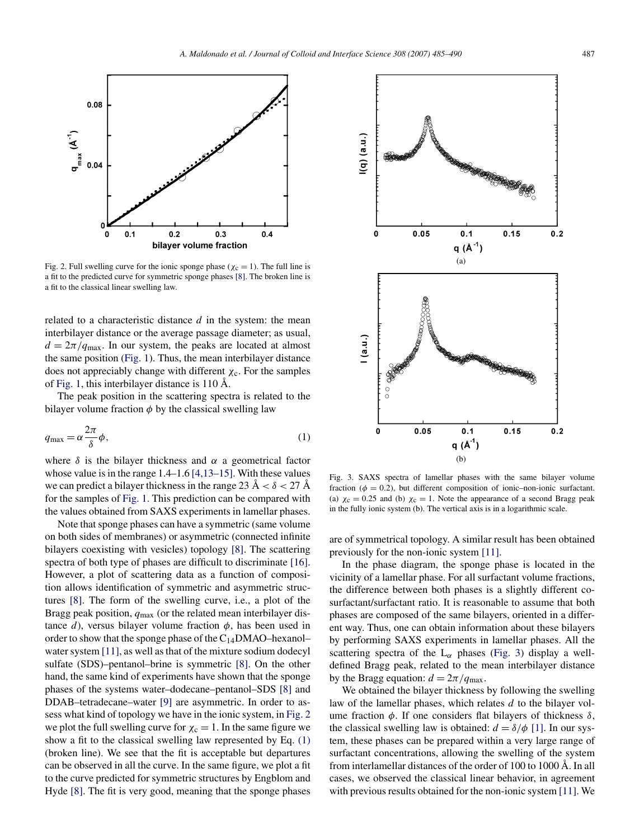<span id="page-2-0"></span>

Fig. 2. Full swelling curve for the ionic sponge phase ( $\chi_c = 1$ ). The full line is a fit to the predicted curve for symmetric sponge phases [\[8\].](#page-4-0) The broken line is a fit to the classical linear swelling law.

related to a characteristic distance *d* in the system: the mean interbilayer distance or the average passage diameter; as usual,  $d = 2\pi/q_{\text{max}}$ . In our system, the peaks are located at almost the same position [\(Fig. 1\)](#page-1-0). Thus, the mean interbilayer distance does not appreciably change with different  $\chi_c$ . For the samples of [Fig. 1,](#page-1-0) this interbilayer distance is 110 Å.

The peak position in the scattering spectra is related to the bilayer volume fraction  $\phi$  by the classical swelling law

$$
q_{\text{max}} = \alpha \frac{2\pi}{\delta} \phi,\tag{1}
$$

where  $\delta$  is the bilayer thickness and  $\alpha$  a geometrical factor whose value is in the range 1.4–1.6 [\[4,13–15\].](#page-4-0) With these values we can predict a bilayer thickness in the range 23 Å  $< \delta < 27$  Å for the samples of [Fig. 1.](#page-1-0) This prediction can be compared with the values obtained from SAXS experiments in lamellar phases.

Note that sponge phases can have a symmetric (same volume on both sides of membranes) or asymmetric (connected infinite bilayers coexisting with vesicles) topology [\[8\].](#page-4-0) The scattering spectra of both type of phases are difficult to discriminate [\[16\].](#page-5-0) However, a plot of scattering data as a function of composition allows identification of symmetric and asymmetric structures [\[8\].](#page-4-0) The form of the swelling curve, i.e., a plot of the Bragg peak position, *q*max (or the related mean interbilayer distance *d*), versus bilayer volume fraction  $\phi$ , has been used in order to show that the sponge phase of the  $C_{14}DMAO$ –hexanol– water system [\[11\],](#page-5-0) as well as that of the mixture sodium dodecyl sulfate (SDS)–pentanol–brine is symmetric [\[8\].](#page-4-0) On the other hand, the same kind of experiments have shown that the sponge phases of the systems water–dodecane–pentanol–SDS [\[8\]](#page-4-0) and DDAB–tetradecane–water [\[9\]](#page-4-0) are asymmetric. In order to assess what kind of topology we have in the ionic system, in Fig. 2 we plot the full swelling curve for  $\chi_c = 1$ . In the same figure we show a fit to the classical swelling law represented by Eq. (1) (broken line). We see that the fit is acceptable but departures can be observed in all the curve. In the same figure, we plot a fit to the curve predicted for symmetric structures by Engblom and Hyde [\[8\].](#page-4-0) The fit is very good, meaning that the sponge phases



Fig. 3. SAXS spectra of lamellar phases with the same bilayer volume fraction ( $\phi = 0.2$ ), but different composition of ionic–non-ionic surfactant. (a)  $\chi_c = 0.25$  and (b)  $\chi_c = 1$ . Note the appearance of a second Bragg peak in the fully ionic system (b). The vertical axis is in a logarithmic scale.

are of symmetrical topology. A similar result has been obtained previously for the non-ionic system [\[11\].](#page-5-0)

In the phase diagram, the sponge phase is located in the vicinity of a lamellar phase. For all surfactant volume fractions, the difference between both phases is a slightly different cosurfactant/surfactant ratio. It is reasonable to assume that both phases are composed of the same bilayers, oriented in a different way. Thus, one can obtain information about these bilayers by performing SAXS experiments in lamellar phases. All the scattering spectra of the  $L_{\alpha}$  phases (Fig. 3) display a welldefined Bragg peak, related to the mean interbilayer distance by the Bragg equation:  $d = 2\pi / q_{\text{max}}$ .

We obtained the bilayer thickness by following the swelling law of the lamellar phases, which relates *d* to the bilayer volume fraction *φ*. If one considers flat bilayers of thickness *δ*, the classical swelling law is obtained:  $d = \delta/\phi$  [\[1\].](#page-4-0) In our system, these phases can be prepared within a very large range of surfactant concentrations, allowing the swelling of the system from interlamellar distances of the order of 100 to 1000 Å. In all cases, we observed the classical linear behavior, in agreement with previous results obtained for the non-ionic system [\[11\].](#page-5-0) We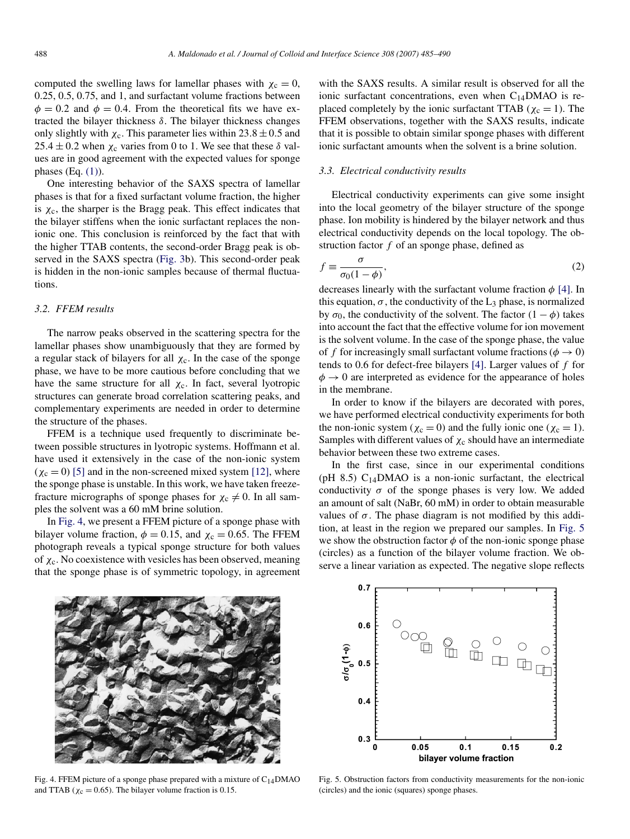<span id="page-3-0"></span>computed the swelling laws for lamellar phases with  $\chi_c = 0$ , 0.25, 0.5, 0.75, and 1, and surfactant volume fractions between  $\phi = 0.2$  and  $\phi = 0.4$ . From the theoretical fits we have extracted the bilayer thickness *δ*. The bilayer thickness changes only slightly with  $\chi_c$ . This parameter lies within  $23.8 \pm 0.5$  and  $25.4 \pm 0.2$  when  $\chi_c$  varies from 0 to 1. We see that these  $\delta$  values are in good agreement with the expected values for sponge phases  $(Eq. (1))$  $(Eq. (1))$ .

One interesting behavior of the SAXS spectra of lamellar phases is that for a fixed surfactant volume fraction, the higher is  $\chi_c$ , the sharper is the Bragg peak. This effect indicates that the bilayer stiffens when the ionic surfactant replaces the nonionic one. This conclusion is reinforced by the fact that with the higher TTAB contents, the second-order Bragg peak is observed in the SAXS spectra [\(Fig. 3b](#page-2-0)). This second-order peak is hidden in the non-ionic samples because of thermal fluctuations.

# *3.2. FFEM results*

The narrow peaks observed in the scattering spectra for the lamellar phases show unambiguously that they are formed by a regular stack of bilayers for all  $\chi_c$ . In the case of the sponge phase, we have to be more cautious before concluding that we have the same structure for all  $\chi_c$ . In fact, several lyotropic structures can generate broad correlation scattering peaks, and complementary experiments are needed in order to determine the structure of the phases.

FFEM is a technique used frequently to discriminate between possible structures in lyotropic systems. Hoffmann et al. have used it extensively in the case of the non-ionic system  $(\chi_c = 0)$  [\[5\]](#page-4-0) and in the non-screened mixed system [\[12\],](#page-5-0) where the sponge phase is unstable. In this work, we have taken freezefracture micrographs of sponge phases for  $\chi_c \neq 0$ . In all samples the solvent was a 60 mM brine solution.

In Fig. 4, we present a FFEM picture of a sponge phase with bilayer volume fraction,  $\phi = 0.15$ , and  $\chi_c = 0.65$ . The FFEM photograph reveals a typical sponge structure for both values of *χ*c. No coexistence with vesicles has been observed, meaning that the sponge phase is of symmetric topology, in agreement with the SAXS results. A similar result is observed for all the ionic surfactant concentrations, even when  $C_{14}$ DMAO is replaced completely by the ionic surfactant TTAB ( $\chi_c = 1$ ). The FFEM observations, together with the SAXS results, indicate that it is possible to obtain similar sponge phases with different ionic surfactant amounts when the solvent is a brine solution.

## *3.3. Electrical conductivity results*

Electrical conductivity experiments can give some insight into the local geometry of the bilayer structure of the sponge phase. Ion mobility is hindered by the bilayer network and thus electrical conductivity depends on the local topology. The obstruction factor *f* of an sponge phase, defined as

$$
f \equiv \frac{\sigma}{\sigma_0 (1 - \phi)},\tag{2}
$$

decreases linearly with the surfactant volume fraction *φ* [\[4\].](#page-4-0) In this equation,  $\sigma$ , the conductivity of the L<sub>3</sub> phase, is normalized by  $\sigma_0$ , the conductivity of the solvent. The factor  $(1 - \phi)$  takes into account the fact that the effective volume for ion movement is the solvent volume. In the case of the sponge phase, the value of *f* for increasingly small surfactant volume fractions ( $\phi \rightarrow 0$ ) tends to 0.6 for defect-free bilayers [\[4\].](#page-4-0) Larger values of *f* for  $\phi \rightarrow 0$  are interpreted as evidence for the appearance of holes in the membrane.

In order to know if the bilayers are decorated with pores, we have performed electrical conductivity experiments for both the non-ionic system ( $\chi_c = 0$ ) and the fully ionic one ( $\chi_c = 1$ ). Samples with different values of  $\chi_c$  should have an intermediate behavior between these two extreme cases.

In the first case, since in our experimental conditions (pH 8.5)  $C_{14}$ DMAO is a non-ionic surfactant, the electrical conductivity  $\sigma$  of the sponge phases is very low. We added an amount of salt (NaBr, 60 mM) in order to obtain measurable values of  $\sigma$ . The phase diagram is not modified by this addition, at least in the region we prepared our samples. In Fig. 5 we show the obstruction factor  $\phi$  of the non-ionic sponge phase (circles) as a function of the bilayer volume fraction. We observe a linear variation as expected. The negative slope reflects



Fig. 4. FFEM picture of a sponge phase prepared with a mixture of  $C_{14}$ DMAO and TTAB ( $\chi_c = 0.65$ ). The bilayer volume fraction is 0.15.



Fig. 5. Obstruction factors from conductivity measurements for the non-ionic (circles) and the ionic (squares) sponge phases.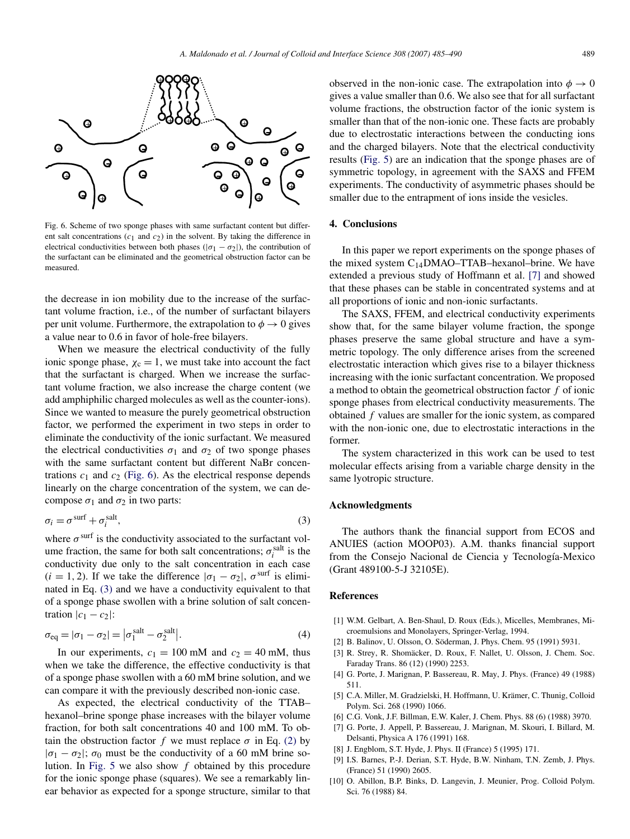<span id="page-4-0"></span>

Fig. 6. Scheme of two sponge phases with same surfactant content but different salt concentrations  $(c_1 \text{ and } c_2)$  in the solvent. By taking the difference in electrical conductivities between both phases ( $|\sigma_1 - \sigma_2|$ ), the contribution of the surfactant can be eliminated and the geometrical obstruction factor can be measured.

the decrease in ion mobility due to the increase of the surfactant volume fraction, i.e., of the number of surfactant bilayers per unit volume. Furthermore, the extrapolation to  $\phi \rightarrow 0$  gives a value near to 0.6 in favor of hole-free bilayers.

When we measure the electrical conductivity of the fully ionic sponge phase,  $\chi_c = 1$ , we must take into account the fact that the surfactant is charged. When we increase the surfactant volume fraction, we also increase the charge content (we add amphiphilic charged molecules as well as the counter-ions). Since we wanted to measure the purely geometrical obstruction factor, we performed the experiment in two steps in order to eliminate the conductivity of the ionic surfactant. We measured the electrical conductivities  $\sigma_1$  and  $\sigma_2$  of two sponge phases with the same surfactant content but different NaBr concentrations  $c_1$  and  $c_2$  (Fig. 6). As the electrical response depends linearly on the charge concentration of the system, we can decompose  $σ_1$  and  $σ_2$  in two parts:

$$
\sigma_i = \sigma^{\text{surf}} + \sigma_i^{\text{salt}},\tag{3}
$$

where  $\sigma^{\text{surf}}$  is the conductivity associated to the surfactant volume fraction, the same for both salt concentrations;  $\sigma_i^{\text{salt}}$  is the conductivity due only to the salt concentration in each case  $(i = 1, 2)$ . If we take the difference  $|\sigma_1 - \sigma_2|$ ,  $\sigma^{\text{surf}}$  is eliminated in Eq. (3) and we have a conductivity equivalent to that of a sponge phase swollen with a brine solution of salt concentration  $|c_1 - c_2|$ :

$$
\sigma_{\text{eq}} = |\sigma_1 - \sigma_2| = |\sigma_1^{\text{salt}} - \sigma_2^{\text{salt}}|.
$$
 (4)

In our experiments,  $c_1 = 100$  mM and  $c_2 = 40$  mM, thus when we take the difference, the effective conductivity is that of a sponge phase swollen with a 60 mM brine solution, and we can compare it with the previously described non-ionic case.

As expected, the electrical conductivity of the TTAB– hexanol–brine sponge phase increases with the bilayer volume fraction, for both salt concentrations 40 and 100 mM. To obtain the obstruction factor *f* we must replace  $\sigma$  in Eq. [\(2\)](#page-3-0) by  $|\sigma_1 - \sigma_2|$ ;  $\sigma_0$  must be the conductivity of a 60 mM brine solution. In [Fig. 5](#page-3-0) we also show *f* obtained by this procedure for the ionic sponge phase (squares). We see a remarkably linear behavior as expected for a sponge structure, similar to that observed in the non-ionic case. The extrapolation into  $\phi \rightarrow 0$ gives a value smaller than 0.6. We also see that for all surfactant volume fractions, the obstruction factor of the ionic system is smaller than that of the non-ionic one. These facts are probably due to electrostatic interactions between the conducting ions and the charged bilayers. Note that the electrical conductivity results [\(Fig. 5\)](#page-3-0) are an indication that the sponge phases are of symmetric topology, in agreement with the SAXS and FFEM experiments. The conductivity of asymmetric phases should be smaller due to the entrapment of ions inside the vesicles.

## **4. Conclusions**

In this paper we report experiments on the sponge phases of the mixed system C14DMAO–TTAB–hexanol–brine. We have extended a previous study of Hoffmann et al. [7] and showed that these phases can be stable in concentrated systems and at all proportions of ionic and non-ionic surfactants.

The SAXS, FFEM, and electrical conductivity experiments show that, for the same bilayer volume fraction, the sponge phases preserve the same global structure and have a symmetric topology. The only difference arises from the screened electrostatic interaction which gives rise to a bilayer thickness increasing with the ionic surfactant concentration. We proposed a method to obtain the geometrical obstruction factor *f* of ionic sponge phases from electrical conductivity measurements. The obtained *f* values are smaller for the ionic system, as compared with the non-ionic one, due to electrostatic interactions in the former.

The system characterized in this work can be used to test molecular effects arising from a variable charge density in the same lyotropic structure.

# **Acknowledgments**

The authors thank the financial support from ECOS and ANUIES (action MOOP03). A.M. thanks financial support from the Consejo Nacional de Ciencia y Tecnología-Mexico (Grant 489100-5-J 32105E).

### **References**

- [1] W.M. Gelbart, A. Ben-Shaul, D. Roux (Eds.), Micelles, Membranes, Microemulsions and Monolayers, Springer-Verlag, 1994.
- [2] B. Balinov, U. Olsson, O. Söderman, J. Phys. Chem. 95 (1991) 5931.
- [3] R. Strey, R. Shomäcker, D. Roux, F. Nallet, U. Olsson, J. Chem. Soc. Faraday Trans. 86 (12) (1990) 2253.
- [4] G. Porte, J. Marignan, P. Bassereau, R. May, J. Phys. (France) 49 (1988) 511.
- [5] C.A. Miller, M. Gradzielski, H. Hoffmann, U. Krämer, C. Thunig, Colloid Polym. Sci. 268 (1990) 1066.
- [6] C.G. Vonk, J.F. Billman, E.W. Kaler, J. Chem. Phys. 88 (6) (1988) 3970.
- [7] G. Porte, J. Appell, P. Bassereau, J. Marignan, M. Skouri, I. Billard, M. Delsanti, Physica A 176 (1991) 168.
- [8] J. Engblom, S.T. Hyde, J. Phys. II (France) 5 (1995) 171.
- [9] I.S. Barnes, P.-J. Derian, S.T. Hyde, B.W. Ninham, T.N. Zemb, J. Phys. (France) 51 (1990) 2605.
- [10] O. Abillon, B.P. Binks, D. Langevin, J. Meunier, Prog. Colloid Polym. Sci. 76 (1988) 84.